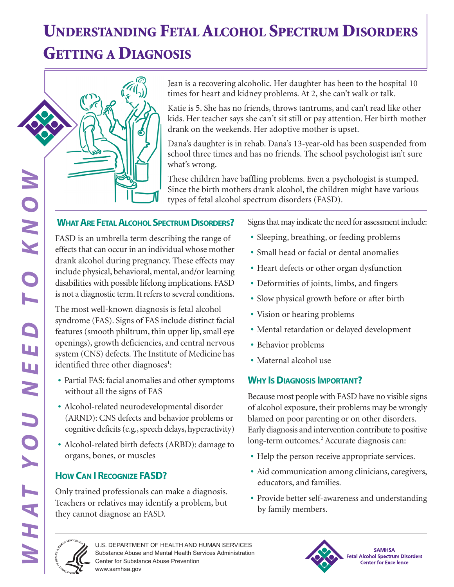# **UNDERSTANDING FETAL ALCOHOL SPECTRUM DISORDERS**

### **GETTING A DIAGNOSIS**



Katie is 5. She has no friends, throws tantrums, and can't read like other kids. Her teacher says she can't sit still or pay attention. Her birth mother drank on the weekends. Her adoptive mother is upset.

Dana's daughter is in rehab. Dana's 13-year-old has been suspended from school three times and has no friends. The school psychologist isn't sure what's wrong.

These children have baffling problems. Even a psychologist is stumped. Since the birth mothers drank alcohol, the children might have various types of fetal alcohol spectrum disorders (FASD).

**EXERCTS TO THE SECTRUM DESCRIPTION AND SINCE THE SECTRUM DISORDERS?**<br> **WHAT ARE FETAL ALCOHOL SPECTRUM DISORDERS?**<br> **EXECTS that can occur in an individual whose mother derivative and there** of dramk alcohol during pregna FASD is an umbrella term describing the range of effects that can occur in an individual whose mother drank alcohol during pregnancy. These effects may include physical, behavioral, mental, and/or learning disabilities with possible lifelong implications. FASD is not a diagnostic term. It refers to several conditions.

The most well-known diagnosis is fetal alcohol syndrome (FAS). Signs of FAS include distinct facial features (smooth philtrum, thin upper lip, small eye openings), growth deficiencies, and central nervous system (CNS) defects. The Institute of Medicine has identified three other diagnoses<sup>1</sup>:

- **•** Partial FAS: facial anomalies and other symptoms without all the signs of FAS
- **•** Alcohol-related neurodevelopmental disorder (ARND): CNS defects and behavior problems or cognitive deficits (e.g., speech delays, hyperactivity)
- **•** Alcohol-related birth defects (ARBD): damage to organs, bones, or muscles

### **HOW CAN I RECOGNIZE FASD?**

Only trained professionals can make a diagnosis. Teachers or relatives may identify a problem, but they cannot diagnose an FASD.

Signs that may indicate the need for assessment include:

- **•** Sleeping, breathing, or feeding problems
- **•** Small head or facial or dental anomalies
- **•** Heart defects or other organ dysfunction
- **•** Deformities of joints, limbs, and fingers
- **•** Slow physical growth before or after birth
- **•** Vision or hearing problems
- **•** Mental retardation or delayed development
- **•** Behavior problems
- **•** Maternal alcohol use

#### **WHY IS DIAGNOSIS IMPORTANT?**

Because most people with FASD have no visible signs of alcohol exposure, their problems may be wrongly blamed on poor parenting or on other disorders. Early diagnosis and intervention contribute to positive long-term outcomes.<sup>2</sup> Accurate diagnosis can:

- **•** Help the person receive appropriate services.
- Aid communication among clinicians, caregivers, educators, and families.
- **•** Provide better self-awareness and understanding by family members.



U.S. DEPARTMENT OF HEALTH AND HUMAN SERVICES Substance Abuse and Mental Health Services Administration Center for Substance Abuse Prevention www.samhsa.gov